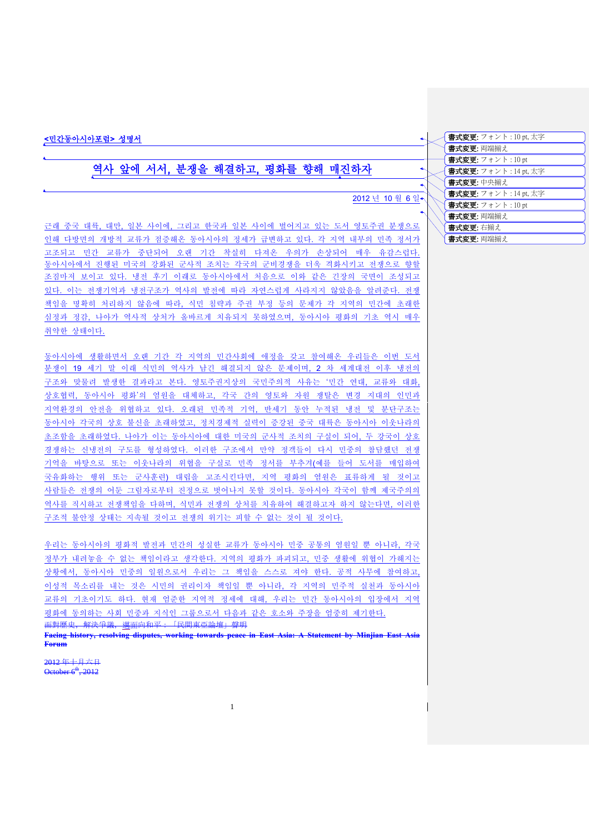### <민간동아시아포럼> 성명서

# 역사 앞에 서서, 분쟁을 해결하고, 평화를 향해 매진하자

## 2012 년 10 월 6 일

 $\ddot{\phantom{1}}$ 

근래 중국 대륙, 대만, 일본 사이에, 그리고 한국과 일본 사이에 벌어지고 있는 도서 영토주권 분쟁으로 인해 다방면의 개방적 교류가 점증해온 동아시아의 정세가 급변하고 있다. 각 지역 내부의 민족 정서가 고조되고 민간 교류가 중단되어 오랜 기간 착실히 다져온 우의가 손상되어 매우 유감스럽다. 동아시아에서 진행된 미국의 강화된 군사적 조치는 각국의 군비경쟁을 더욱 격화시키고 전쟁으로 향할 조짐마저 보이고 있다. 냉전 후기 이래로 동아시아에서 처음으로 이와 같은 긴장의 국면이 조성되고 있다. 이는 전쟁기억과 냉전구조가 역사의 발전에 따라 자연스럽게 사라지지 않았음을 알려준다. 전쟁 책임을 명확히 처리하지 않음에 따라, 식민 침략과 주권 부정 등의 문제가 각 지역의 민간에 초래한 심정과 정감, 나아가 역사적 상처가 올바르게 치유되지 못하였으며, 동아시아 평화의 기초 역시 매우 취약한 상태이다.

동아시아에 생활하면서 오랜 기간 각 지역의 민간사회에 애정을 갖고 참여해온 우리들은 이번 도서 분쟁이 19 세기 말 이래 식민의 역사가 남긴 해결되지 않은 문제이며, 2 차 세계대전 이후 냉전의 구조와 맞물려 발생한 결과라고 본다. 영토주권지상의 국민주의적 사유는 '민간 연대, 교류와 대화, 상호협력, 동아시아 평화'의 염원을 대체하고, 각국 간의 영토와 자원 쟁탈은 변경 지대의 인민과 지역환경의 안전을 위협하고 있다. 오래된 민족적 기억, 반세기 동안 누적된 냉전 및 분단구조는 동아시아 각국의 상호 불신을 초래하였고, 정치경제적 실력이 증강된 중국 대륙은 동아시아 이웃나라의 초조함을 초래하였다. 나아가 이는 동아시아에 대한 미국의 군사적 조치의 구실이 되어, 두 강국이 상호 경쟁하는 신냉전의 구도를 형성하였다. 이러한 구조에서 만약 정객들이 다시 민중의 참담했던 전쟁 기억을 바탕으로 또는 이웃나라의 위협을 구실로 민족 정서를 부추겨(예를 들어 도서를 매입하여 국유화하는 행위 또는 군사훈련) 대립을 고조시킨다면, 지역 평화의 염원은 표류하게 될 것이고 사람들은 전쟁의 어둔 그림자로부터 진정으로 벗어나지 못할 것이다. 동아시아 각국이 함께 제국주의의 역사를 직시하고 전쟁책임을 다하며, 식민과 전쟁의 상처를 치유하여 해결하고자 하지 않는다면, 이러한 구조적 불안정 상태는 지속될 것이고 전쟁의 위기는 피할 수 없는 것이 될 것이다.

우리는 동아시아의 평화적 발전과 민간의 성실한 교류가 동아시아 민중 공통의 염원일 뿐 아니라, 각국 정부가 내려놓을 수 없는 책임이라고 생각한다. 지역의 평화가 파괴되고, 민중 생활에 위협이 가해지는 상황에서, 동아시아 민중의 일원으로서 우리는 그 책임을 스스로 져야 한다. 공적 사무에 참여하고, 이성적 목소리를 내는 것은 시민의 권리이자 책임일 뿐 아니라, 각 지역의 민주적 실천과 동아시아 교류의 기초이기도 하다. 현재 엄준한 지역적 정세에 대해, 우리는 민간 동아시아의 입장에서 지역 평화에 동의하는 사회 민중과 지식인 그룹으로서 다음과 같은 호소와 주장을 엄중히 제기한다. <del>面對歷史,解決爭議,<u>邁</u>面向和平: 「民間東亞論壇」聲明</del> **Facing history, resolving disputes, working towards peace in East Asia: A Statement by Minjian East Asia** 

**Forum**

2012 年十月六日  $\overline{\text{October 6}}^{\text{th}}$ , 2012

| <b>書式変更:</b> フォント : 10 pt,太字 |
|------------------------------|
| 書式変更: 両端揃え                   |
| 書式変更: フォント: 10 pt            |
| 書式変更: フォント: 14 pt, 太字        |
| 書式変更:中央揃え                    |
| <b>書式変更:</b> フォント:14 pt,太字   |
| 書式変更: フォント: 10 pt            |
| 書式変更: 両端揃え                   |
| 書式変更:右揃え                     |
| 書式変更: 両端揃え                   |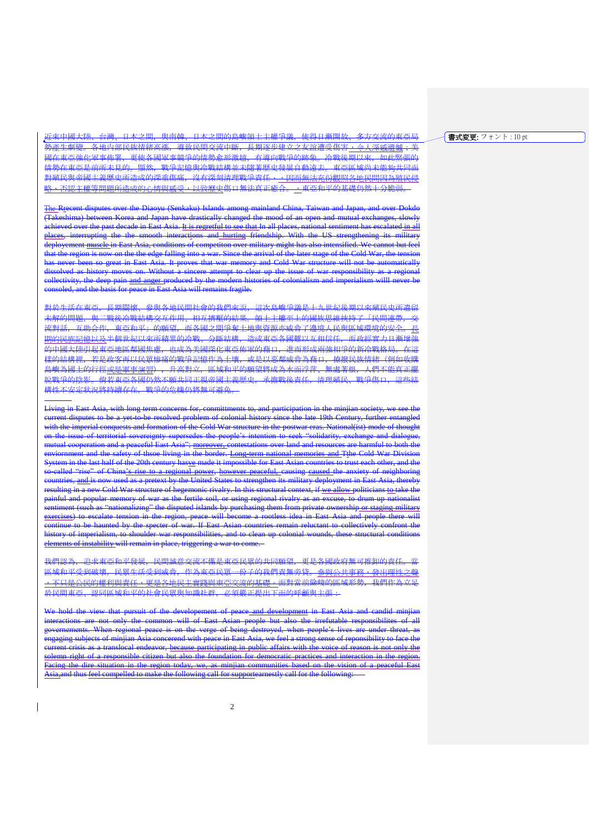書式変更: フォント : 10 pt

近來中國大陸、台灣、日本之間,與南韓、日本之間的島嶼領土主權爭議,使得日漸開放、多方交流的東亞局 、<br>勢產生劇變。各地內部民族情緒高漲,導致民間交流中斷,長期逐步建立之友誼遭受傷害<u>,令人深感遺憾</u>;美 <mark>國在東亞強化軍事佈署,更使各國軍事競爭的情勢愈形激越,有導向戰爭的跡象。冷戰後期以來,如此緊張的</mark> 情勢在東亞是前所未見的。顯然,戰爭記憶與冷戰結構並未隨著歴史發展自動遠去。東亞區域尚未能夠共同面 對殖民與帝國主義歷史所造成的深重傷痛, 沒有深刻清理戰爭責任、<u>,因而無法充份觀照各地民間因為殖民侵</u> 、否認主權等問題所造成的心情與感受,以致歷史傷口無法真正癒合。,東亞和平的基礎仍然十分脆弱。.

The Rrecent disputes over the Diaoyu (Senkaku) Islands among mainland China, Taiwan and Japan, and over Dokdo (Takeshima) between Korea and Japan have drastically changed the mood of an open and mutual exchanges, slowly achieved over the past decade in East Asia. It is regretful to see that In all places, national sentiment has escalated in all<br>places interrupting the the smooth interactions and burting friendship. With the US strengtheni the the smooth interactions and hurting friendship. With the US strengthening its deployement muscle in East Asia, conditions of competiton over military might has also intensified. We cannot but feel that the region is now on the the edge falling into a war. Since the arrival of the later stage of the Cold War, the tension has never been so great in East Asia. It proves that war memory and Cold War structure will not be automatically dissolved as history moves on. Without a sincere attempt to clear up the issue of war responsibility as a regional collectivity, the deep pain and anger produced by the modern histories of colonialism and imperialism willl never be consoled, and the basis for peace in East Asia will remains fragile.

對於生活在東亞,長期關懷、參與各地民間社會的我們來說,這次島嶼爭議是十九世紀後期以來殖民史所遺留 未解的問題,與二戰後冷戰結構交互作用、相互擠壓的結果。領土主權至上的國族思維挾持了「民間連帶,交 流對話, 互助合作, 東亞和平」的願望, 而各國之間爭奪土地與資源亦威脅了邊境人民與區域環境的安全 期的民族記憶以及半個世紀以來所積累的冷戰、分斷結構,造成東亞各國難以互相信任,而政經實力日漸增強 的中國大陸引起東亞地區鄰國焦慮,也成為美國深化東亞佈軍的藉口,進而形成兩強相爭的新冷戰格局。在這 。<br><del>樣的結構裡,若是政客再以民眾慘痛的戰爭記憶作為土壤,或是以惡鄰威脅為藉口,撩撥民族情緒(例如收購</del> 島嶼為國土的行徑<u>或是軍事演習), 升高對立, 區域和平的願望將成為水面浮萍、無處著根, 人們不能真正擺</u> 脫戰爭的陰影。倘若東亞各國仍然不願共同正視帝國主義歷史,承擔戰後責任,清理殖民、戰爭傷口,這些結 構性不安定狀況將持續存在,戰爭的危機仍將無可避免。

Living in East Asia, with long term concerns for, conmittments to, and participation in the minjian society, we see the current disputes to be a yet-to-be resolved problem of colonial history since the late 19th Century, further entangled with the imperial conquests and formation of the Cold War structure in the postwar eras. National(ist) mode of thought on the issue of territorial sovereignty supersedes the people's intention to seek "solidarity, exchange and dialogue, mutual cooperation and a peaceful East Asia"; moreover, contestations over land and resources are harmful to both the enviornment and the safety of thsoe living in the border. Long-term national memories and Tthe Cold War Division System in the last half of the 20th century hasve made it impossible for East Asian countries to trust each other, and the called "rise" of China's rise to a regional power, however peaceful, causing caused the anxiety of neighboring countries, and is now used as a pretext by the United States to strengthen its military deployment in East Asia, thereby resulting in a new Cold War structure of hegemonic rivalry. In this structural context, if we allow politicians to take the painful and popular memory of war as the fertile soil, or using regional rivalry as an excuse, to drum up nationalist sentiment (such as "nationalizing" the disputed islands by purchasing them from private ownership or staging exercises) to escalate tension in the region, peace will become a rootless idea in East Asia and people there will continue to be haunted by the specter of war. If East Asian countries remain reluctant to collectively confront the history of imperialism, to shoulder war responsibilities, and to clean up colonial wounds, these structural conditions elements of instability will remain in place, triggering a war to come.

我們認為,追求東亞和平發展,民間誠意交流不僅是東亞民眾的共同願望,更是各國政府無可推卸的責任。 。<br><del>區域和平受到破壞,民眾生活受到威脅,作為東亞民眾一份子的我們責無旁貸。<u>參與公共事務・發出理性之聲</u></del> ,不只是公民的權利與責任,更是各地民主實踐與東亞交流的基礎。面對當前險峻的區域形勢,我們作為立足 -<br><u>於民間東亞、認同區域和平的社會民眾與知識社群,必須嚴正提出下面的呼籲與主張:</u>

hold the view that pursuit of the developement of peace and development in East Asia and candid min interactions are not only the common will of East Asian people but also the irrefutable responsibilites of all vernements. When regional peace is on the verge of being destroyed, when people's lives are under threat engaging subjects of minjian Asia concerend with peace in East Asia, we feel a strong sense of reponsibility to face the current crisis as a translocal endeavor, because participating in public affairs with the voice of reason is not only the solemn right of a responsible citizen but also the foundation for democratic practices and interaction in the region. Facing the dire situation in the region today, we, as minjian communities based on the vision of a peaceful East Asia,and thus feel compelled to make the following call for supportearnestly call for the following: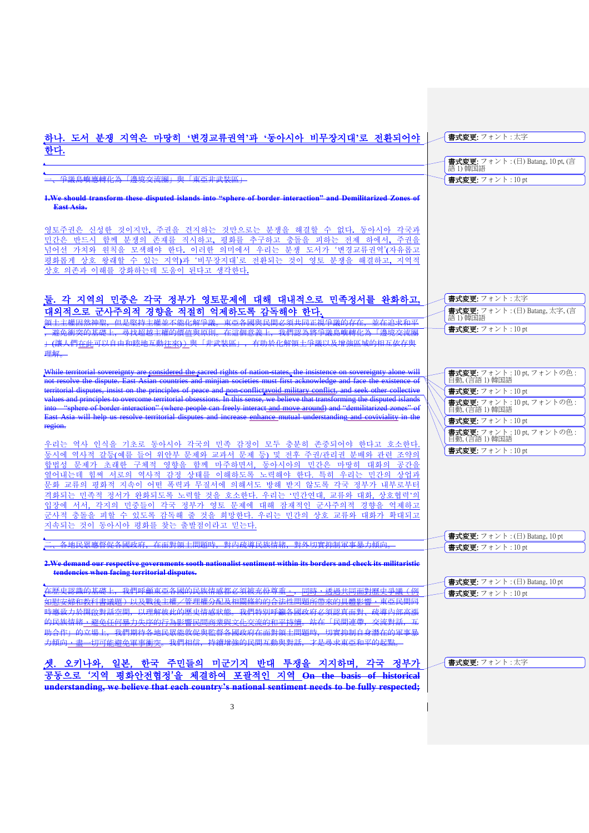## 하나**.** 도서 분쟁 지역은 마땅히 **'**변경교류권역**'**과 **'**동아시아 비무장지대**'**로 전환되어야 한다**.**

手議島嶼應轉化為「邊境交流圈」與「東亞非武裝區」

**1.We should transform these disputed islands into "sphere of border interaction" and Demilitarized Zones of East Asia.**

영토주권은 신성한 것이지만**,** 주권을 견지하는 것만으로는 분쟁을 해결할 수 없다**.** 동아시아 각국과 민간은 반드시 함께 분쟁의 존재를 직시하고**,** 평화를 추구하고 충돌을 피하는 전제 하에서**,** 주권을 넘어선 가치와 원칙을 모색해야 한다**.** 이러한 의미에서 우리는 분쟁 도서가 '변경교류권역'**(**자유롭고 평화롭게 상호 왕래할 수 있는 지역**)**과 '비무장지대'로 전환되는 것이 영토 분쟁을 해결하고**,** 지역적 상호 의존과 이해를 강화하는데 도움이 된다고 생각한다**.**

# 둘**.** 각 지역의 민중은 각국 정부가 영토문제에 대해 대내적으로 민족정서를 완화하고**,**  <mark>대외적으로 군사주의적 경향을 적절히 억제하도록 감독해야 한다.</mark><br>留土主權国然神聖 但是堅持主權並不能化解爭議 東西冬國聖民盟*以須*世国王拉

但县取掉主權並不能化解爭議、直西冬國與民間必須共同正相爭議的左在,並在追求和平 ,避免衝突的基礎上,尋找超越主權的價值與原則。在這個意義上,我們認為將爭議島嶼轉化為「邊境交流圈 。<br>(讓人們在此可以自由和睦地互動往來))與「非武裝區」,有助於化解領土爭議以及增強區域的相互依存與 理解。

While territorial sovereignty are considered the sacred rights of nation-states, the insistence on sovereignty alone will not resolve the dispute. East Asian countries and minjian societies must first acknowledge and face the existence of territorial disputes, insist on the principles of peace and non-conflictavoid military conflict, and seek other collective values and principles to overcome territorial obsessions. In this sense, we believe that transforming the disputed islands into "sphere of border interaction" (where people can freely interact and move around) and "demilitarized zones" of East Asia will help us resolve territorial disputes and increase enhance mutual understanding and coviviality in the region.

우리는 역사 인식을 기초로 동아시아 각국의 민족 감정이 모두 충분히 존중되어야 한다고 호소한다. 동시에 역사적 갈등(예를 들어 위안부 문제와 교과서 문제 등) 및 전후 주권/관리권 분배와 관련 조약의 합법성 문제가 초래한 구체적 영향을 함께 마주하면서, 동아시아의 민간은 마땅히 대화의 공간을 열어내는데 힘써 서로의 역사적 감정 상태를 이해하도록 노력해야 한다. 특히 우리는 민간의 상업과 문화 교류의 평화적 지속이 어떤 폭력과 무질서에 의해서도 방해 받지 않도록 각국 정부가 내부로부터 격화되는 민족적 정서가 완화되도록 노력할 것을 호소한다. 우리는 '민간연대, 교류와 대화, 상호협력'의 입장에 서서, 각지의 민중들이 각국 정부가 영토 문제에 대해 잠재적인 군사주의적 경향을 억제하고 군사적 충돌을 피할 수 있도록 감독해 줄 것을 희망한다. 우리는 민간의 상호 교류와 대화가 확대되고 지속되는 것이 동아시아 평화를 찾는 출발점이라고 믿는다.

二、各地民眾應督促各國政府,在面對領土問題時,對內疏導民族情緒,對外切實抑制軍事暴力傾向。

**2.We demand our respective governments sooth nationalist sentiment within its borders and check its militaristic tendencies when facing territorial disputes.**

、<br>在歴史認識的基礎上,我們呼籲東亞各國的民族情感都必須被充份尊重<u>。,同時,透過共同面對歷史爭議(例</u><br>如尉安侯和教科書議題)以及戰後主横/管理横公起及相關修約的合法性問題所帶來的目體影響,审西民間同 。<br>如慰安婦和教科書議題)以及戰後主權/管理權分配及相關條約的合法性問題所帶來的具體影響,東亞民間同<br>時應致力於開啟對話空間,以理解彼此的歷史情感狀態,我們特別呼籲各國政府必須認真面對,確導內部高離 時應致力於開啟對話空間,以理解彼此的歷史情感狀態。我們特別呼籲各國政府必須認真面對、疏導內部<br>的民族傳統,避免任何暴力生序的行为影響民間商業與文化交流的和平特續,並在「民間連帶,交流對話 避免任何暴力生存的行为要求。 助合作」的立場上,我們期待各地民眾能敦促與監督各國政府在面對領土問題時,切實抑制自身潛在的軍事暴 力傾向,盡一切可能避免軍事衝突。我們相信,持續增強的民間互動與對話,才是尋求東亞和平的起點。

셋. 오키나와, 일본, 한국 주민들의 미군기지 반대 투쟁을 지지하며, 각국 정부가 공동으로 '지역 평화안전협정'을 체결하여 포괄적인 지역 **On the basis of historical understanding, we believe that each country's national sentiment needs to be fully respected;** 

| <b> 書式変更:</b> フォント : 太字    |                                                          |
|----------------------------|----------------------------------------------------------|
|                            |                                                          |
|                            |                                                          |
|                            | ├ <b>書式変更:</b> フォント : (日) Batang, 10 pt, (言<br>│語 1) 韓国語 |
| <b>  書式変更:</b> フォント: 10 pt |                                                          |
|                            |                                                          |

| - 書式変更: フォント:太字                                                                                                                                                                                                                                                                                                                                                                                                                                                                |
|--------------------------------------------------------------------------------------------------------------------------------------------------------------------------------------------------------------------------------------------------------------------------------------------------------------------------------------------------------------------------------------------------------------------------------------------------------------------------------|
| $\begin{array}{ l } \hline \textbf{ \texttt{\#}}\textbf{ \texttt{\#}}\textbf{ \texttt{\#}}\textbf{ \texttt{\#}}\textbf{ \texttt{\#}}\textbf{ \texttt{\#}}\textbf{ \texttt{\#}}\textbf{ \texttt{\#}}\textbf{ \texttt{\#}}\textbf{ \texttt{\#}}\textbf{ \texttt{\#}}\textbf{ \texttt{\#}}\textbf{ \texttt{\#}}\textbf{ \texttt{\#}}\textbf{ \texttt{\#}}\textbf{ \texttt{\#}}\textbf{ \texttt{\#}}\textbf{ \texttt{\#}}\textbf{ \texttt{\#}}\textbf{ \texttt{\#}}\textbf{ \text$ |
| 書式変更: フォント:10 pt                                                                                                                                                                                                                                                                                                                                                                                                                                                               |

| 書式変更: フォント: 10 pt, フォントの色:<br>目動, (言語 1) 韓国語 |
|----------------------------------------------|
| 書式変更: フォント:10pt                              |
| 書式変更:フォント:10 pt, フォントの色:<br>目動,(言語1)韓国語      |
| 書式変更: フォント: 10 pt                            |
| 書式変更:フォント:10 pt,フォントの色:<br>目動, (言語1) 韓国語     |
| 書式変更: フォント: 10 pt                            |
|                                              |

|                         | 書式変更: フォント : (日) Batang, 10 pt |
|-------------------------|--------------------------------|
| <b>書式変更:</b> フォント:10 pt |                                |

| $\frac{1}{2}$ 書式変更: フォント: (日) Batang, 10 pt |  |
|---------------------------------------------|--|
| <b>書式変更:</b> フォント: 10 pt                    |  |

書式変更: フォント : 太字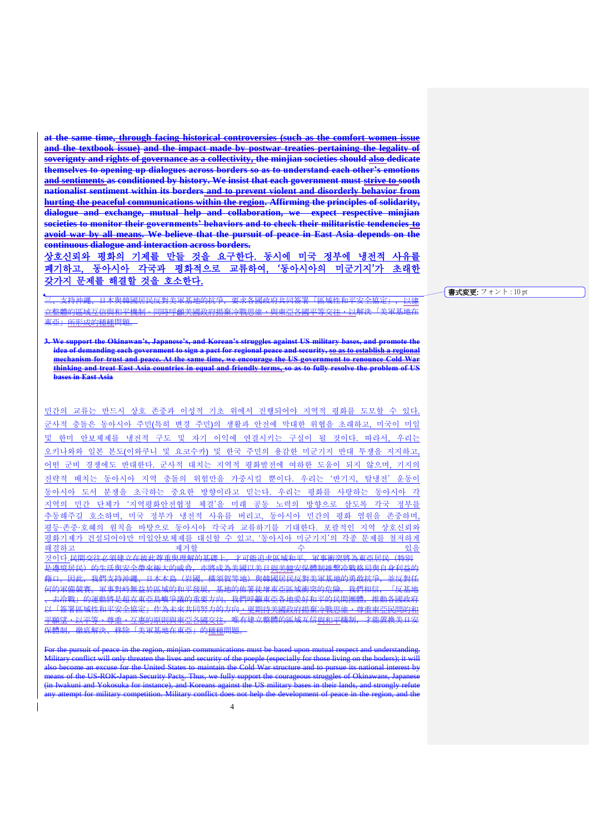**at the same time, through facing historical controversies (such as the comfort women issue and the textbook issue) and the impact made by postwar treaties pertaining the legality of soverignty and rights of governance as a collectivity, the minjian societies should also dedicate themselves to opening up dialogues across borders so as to understand each other's emotions and sentiments as conditioned by history. We insist that each government must strive to sooth nationalist sentiment within its borders and to prevent violent and disorderly behavior from hurting the peaceful communications within the region. Affirming the principles of solidarity, dialogue and exchange, mutual help and collaboration, we expect respective minjian societies to monitor their governments' behaviors and to check their militaristic tendencies to avoid war by all means. We believe that the pursuit of peace in East Asia depends on the continuous dialogue and interaction across borders.**

상호신뢰와 평화의 기제를 만들 것을 요구한다. 동시에 미국 정부에 냉전적 사유를 폐기하고, 동아시아 각국과 평화적으로 교류하여, '동아시아의 미군기지'가 초래한 갖가지 문제를 해결할 것을 호소한다.

。<br>支持沖繩、日本與韓國居民反對美軍基地的抗爭,要求各國政府共同簽署「區域性和平安全協定」 立整體的區域互信與和平機制。同時呼龥美國政府揚棄冷戰思維,與東亞各國平等交往,以解決「美軍基地在 東亞」所形成的種種問題。

**3. We support the Okinawan's, Japanese's, and Korean's struggles against US military bases, and promote the idea of demanding each government to sign a pact for regional peace and security, so as to establish a regional mechanism for trust and peace. At the same time, we encourage the US government to renounce Cold War thinking and treat East Asia countries in equal and friendly terms, so as to fully resolve the problem of US bases in East Asia**

민간의 교류는 반드시 상호 존중과 이성적 기초 위에서 진행되어야 지역적 평화를 도모할 수 있다. 군사적 충돌은 동아시아 주민(특히 변경 주민)의 생활과 안전에 막대한 위협을 초래하고, 미국이 미일 및 한미 안보체제를 냉전적 구도 및 자기 이익에 연결시키는 구실이 될 것이다. 따라서, 우리는 오키나와와 일본 본도(이와쿠니 및 요코수카) 및 한국 주민의 용감한 미군기지 반대 투쟁을 지지하고, 어떤 군비 경쟁에도 반대한다. 군사적 대치는 지역적 평화발전에 여하한 도움이 되지 않으며, 기지의 전략적 배치는 동아시아 지역 충돌의 위험만을 가중시킬 뿐이다. 우리는 '반기지, 탈냉전' 운동이 동아시아 도서 분쟁을 초극하는 중요한 방향이라고 믿는다. 우리는 평화를 사랑하는 동아시아 각 지역의 민간 단체가 '지역평화안전협정 체결'을 미래 공동 노력의 방향으로 삼도록 각국 정부를 추동해주길 호소하며, 미국 정부가 냉전적 사유를 버리고, 동아시아 민간의 평화 염원을 존중하며, 평등·존중·호혜의 원칙을 바탕으로 동아시아 각국과 교류하기를 기대한다. 포괄적인 지역 상호신뢰와 평화기제가 건설되어야만 미일안보체제를 대신할 수 있고, '동아시아 미군기지'의 각종 문제를 철저하게 해결하고 제거할 수 있을 것이다.<del>民間交往必須建立在彼此尊重與理解的基礎上, 才可能追求區域和平。軍事衝突將為東亞居民(特別</del> 是邊境居民) 的生活與安全帶來極大的威脅, 亦將成為美國以美日<u>與美韓</u>安保體制維繫冷戰格局與自身利益的 。」。<br>日此, 我們支持沖繩、日本本島(岩國、横須賀等地)與韓國居民反對美軍基地的勇敢抗爭, 並反對任<br>『備策塞、軍事對峙無犬於国城的和巫發展、基地的施墨往增東西国城縮空的危險,我們相信、「反基地 。<br><del>何的軍備競賽。軍事對峙無益於區域的和平發展,基地的佈署徒增東亞區域衝突的危險。我們相信</del> 去冷戰」的運動將是超克東亞島嶼爭議的重要方向。我們呼籲東亞各地愛好和平的民間團體,推動各國政府 以「簽署區域性和平安全協定」作為未來共同努力的方向,更期待美國政府揚棄冷戰思維,尊重東亞民間的和 平願望・以平等、尊重、互恵的原則與東亞各國交往。唯有建立整體的區域互信與和平機制,才能置換美日安 保體制, 徹底解決、移除「美軍基地在東亞」的<u>種種</u>問題。

For the pursuit of peace in the region, minjian communications must be based upon mutual respect and understanding. Military conflict will only threaten the lives and security of the poeple (especially for those living on the boders); it will also become an excuse for the United States to maintain the Cold War structure and to pursue its national interest by means of the US-ROK-Japan Security Pacts. Thus, we fully support the courageous struggles of Okinawans, Japanese (in Iwakuni and Yokosuka for instance), and Koreans against the US military bases in their lands, and strongly refute for military competition. Military conflict does not help the development of peace in the region

#### 書式変更: フォント : 10 pt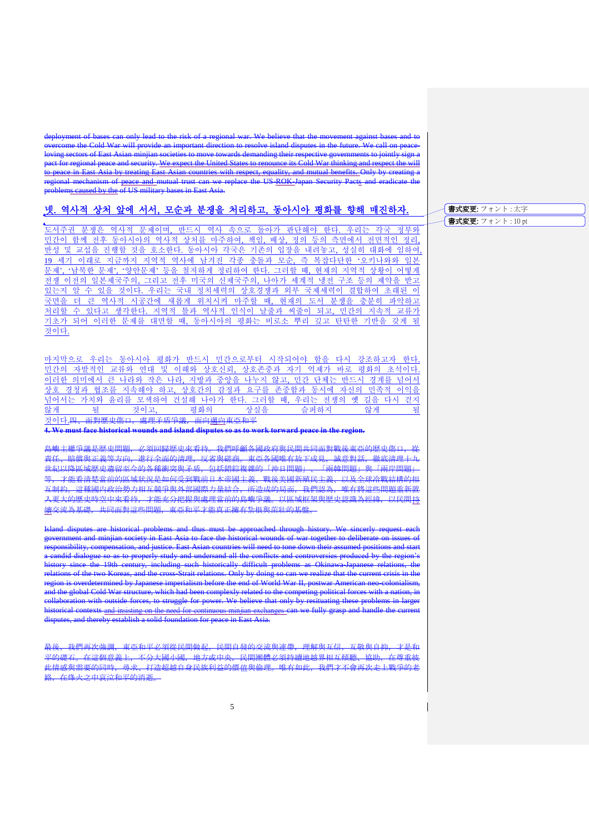deployment of bases can only lead to the risk of a regional war. We believe that the movement against bases and to overcome the Cold War will provide an important direction to resolve island disputes in the future. We call on peaceloving sectors of East Asian minjian societies to move towards demanding their respective governments to jointly sign a pact for regional peace and security. We expect the United States to renounce its Cold War thinking and respect the will

to peace in East Asia by treating East Asian countries with respect, equality, and mutual benefits. Only by creating a regional mechanism of peace and mutual trust can we replace the US-ROK-Japan Security Pacts and problems caused by the of US military bases in East Asia.

### 넷. 역사적 상처 앞에 서서, 모순과 분쟁을 처리하고, 동아시아 평화를 향해 매진하자.

도서주권 분쟁은 역사적 문제이며, 반드시 역사 속으로 돌아가 판단해야 한다. 우리는 각국 정부와 민간이 함께 전후 동아시아의 역사적 상처를 마주하여, 책임, 배상, 정의 등의 측면에서 전면적인 정리, <u>반성 및 교섭을 진행할 것을 호소한다. 동아시아 각국은 기존의 입장을 내려놓고, 성실히 대화에 임하여,</u> 19 세기 이래로 지금까지 지역적 역사에 남겨진 각종 충돌과 모순, 즉 복잡다단한 '오키나와와 일본 문제', '남북한 문제', '양안문제' 등을 철저하게 정리하여 한다. 그러할 때, 현재의 지역적 상황이 어떻게 전쟁 이전의 일본제국주의, 그리고 전후 미국의 신제국주의, 나아가 세계적 냉전 구조 등의 제약을 받고 있는지 알 수 있을 것이다. 우리는 국내 정치세력의 상호경쟁과 외부 국제세력이 결합하여 초래된 이 국면을 더 큰 역사적 시공간에 새롭게 위치시켜 마주할 때, 현재의 도서 분쟁을 충분히 파악하고 처리할 수 있다고 생각한다. 지역적 틀과 역사적 인식이 날줄과 씨줄이 되고, 민간의 지속적 교류가 기초가 되어 이러한 문제를 대면할 때, 동아시아의 평화는 비로소 뿌리 깊고 탄탄한 기반을 갖게 될 것이다.

마지막으로 우리는 동아시아 평화가 반드시 민간으로부터 시작되어야 함을 다시 강조하고자 한다. 민간의 자발적인 교류와 연대 및 이해와 상호신뢰, 상호존중과 자기 억제가 바로 평화의 초석이다. 이러한 의미에서 큰 나라와 작은 나라, 지방과 중앙을 나누지 않고, 민간 단체는 반드시 경계를 넘어서 상호 경청과 협조를 지속해야 하고, 상호간의 감정과 요구를 존중함과 동시에 자신의 민족적 이익을 <u>넘어서는 가치와 윤리를 모색하여 건설해 나아가 한다. 그러할 때, 우리는 전쟁의 옛 길을 다시 걷지</u> 않게 될 것이고, 평화의 상실을 슬퍼하지 않게 될

것이다.四、面對歷史傷口, 處理矛盾爭議, 面向<u>邁向</u>東亞和平

**4. We must face historical wounds and island disputes so as to work torward peace in the region.**

ー<br><del>島嶼主權爭議是歴史問題,必須回歸歴史來看待。我們呼龥各國政府與民間共同面對戰後東亞的歴史傷口,</del> 責任、賠償與正義等方向,進行全面的清理,反省與磋商。東亞各國唯有放下成見,誠意對話,徹底清理十九 世紀以降區域歴史遺留至今的各種衝突與矛盾,包括錯綜複雜的「沖日問題」、「兩韓問題」與「兩岸問題」 等,才能看清楚當前的區域狀況是如何受到戰前日本帝國主義、戰後美國新殖民主義、以及全球冷戰結構的相 。<br><del>- 這種國內政治勢力相互競爭與外部國際力量結合,所造成的局面,我們認為,唯有將這些問題重新置</del> 。<br><del>入更大的歷史時空中來看待,才能充分把握與處理當前的島嶼爭議。以區域框架與歷史認識為經緯,以民間持</del> 續交流為基礎,共同面對這些問題,東亞和平才能真正擁有紮根與茁壯的基盤。

Island disputes are historical problems and thus must be approached through history. We sincerly request each government and minjian society in East Asia to face the historical wounds of war together to deliberate on issues of responsibility, compensation, and justice. East Asian countries will need to tone down their assumed positions and start andid dialogue so as to properly study and undersand all the conflicts and controversies produced by the region history since the 19th century, including such historically difficult problems as Okinawa-Japanese relations, the relations of the two Koreas, and the cross-Strait relations. Only by doing so can we realize that the current crisis in the region is overdetermined by Japanese imperialism before the end of World War II, postwar American neo-colonialism, and the global Cold War structure, which had been complexly related to the competing political forces with a nation, in collaboration with outside forces, to struggle for power. We believe that only by resituating these problems in larger historical contexts and insisting on the need for continuous minjian exchanges can we fully grasp and handle the current disputes, and thereby establish a solid foundation for peace in East Asia.

最後,我們再次強調,東亞和平必須從民間做起。民間自發的交流與連帶,理解與互信,互敬與自抑,才是和 平的礎石。在這個意義上,不分大國小國,地方或中央,民間團體必須持續地越界相互傾聽、協助,在尊重彼 」的處面。在這個感義上,不力公國小國,地分處不久,民間圍臨幻想的履地感到相互懷聽、協動,在特重區<br><mark>此情感與需要的同時,尋求、打造超越自身民族利益的價值與倫理。唯有如此,我們才不會再次走上戰爭的老</mark> 政。左格龙之由哀泣和平的消逝。

書式変更: フォント : 太字 **書式変更:** フォント: 10 pt